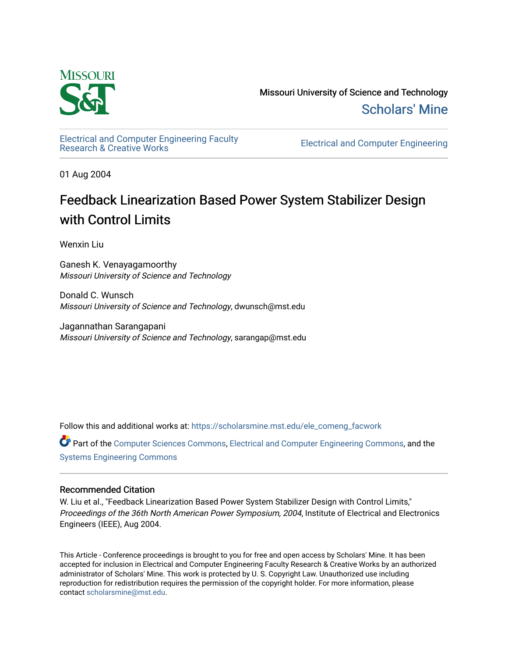

Missouri University of Science and Technology [Scholars' Mine](https://scholarsmine.mst.edu/) 

[Electrical and Computer Engineering Faculty](https://scholarsmine.mst.edu/ele_comeng_facwork)

**Electrical and Computer Engineering** 

01 Aug 2004

# Feedback Linearization Based Power System Stabilizer Design with Control Limits

Wenxin Liu

Ganesh K. Venayagamoorthy Missouri University of Science and Technology

Donald C. Wunsch Missouri University of Science and Technology, dwunsch@mst.edu

Jagannathan Sarangapani Missouri University of Science and Technology, sarangap@mst.edu

Follow this and additional works at: [https://scholarsmine.mst.edu/ele\\_comeng\\_facwork](https://scholarsmine.mst.edu/ele_comeng_facwork?utm_source=scholarsmine.mst.edu%2Fele_comeng_facwork%2F1636&utm_medium=PDF&utm_campaign=PDFCoverPages)

Part of the [Computer Sciences Commons](http://network.bepress.com/hgg/discipline/142?utm_source=scholarsmine.mst.edu%2Fele_comeng_facwork%2F1636&utm_medium=PDF&utm_campaign=PDFCoverPages), [Electrical and Computer Engineering Commons,](http://network.bepress.com/hgg/discipline/266?utm_source=scholarsmine.mst.edu%2Fele_comeng_facwork%2F1636&utm_medium=PDF&utm_campaign=PDFCoverPages) and the [Systems Engineering Commons](http://network.bepress.com/hgg/discipline/309?utm_source=scholarsmine.mst.edu%2Fele_comeng_facwork%2F1636&utm_medium=PDF&utm_campaign=PDFCoverPages) 

# Recommended Citation

W. Liu et al., "Feedback Linearization Based Power System Stabilizer Design with Control Limits," Proceedings of the 36th North American Power Symposium, 2004, Institute of Electrical and Electronics Engineers (IEEE), Aug 2004.

This Article - Conference proceedings is brought to you for free and open access by Scholars' Mine. It has been accepted for inclusion in Electrical and Computer Engineering Faculty Research & Creative Works by an authorized administrator of Scholars' Mine. This work is protected by U. S. Copyright Law. Unauthorized use including reproduction for redistribution requires the permission of the copyright holder. For more information, please contact [scholarsmine@mst.edu](mailto:scholarsmine@mst.edu).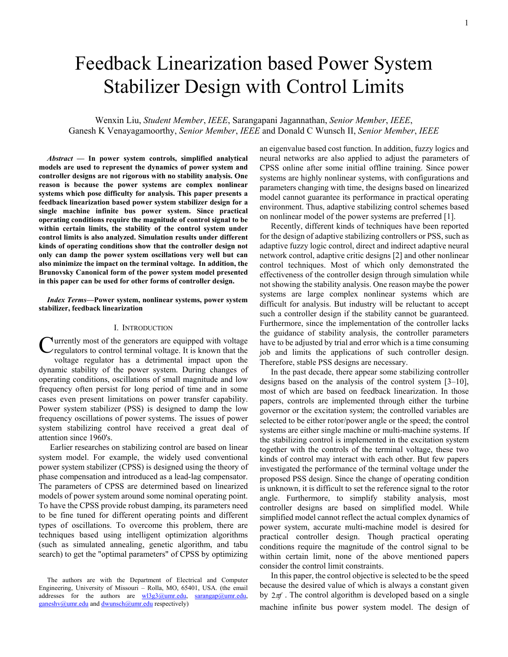# Feedback Linearization based Power System Stabilizer Design with Control Limits

Wenxin Liu, *Student Member*, *IEEE*, Sarangapani Jagannathan, *Senior Member*, *IEEE*, Ganesh K Venayagamoorthy, *Senior Member*, *IEEE* and Donald C Wunsch II, *Senior Member*, *IEEE*

*Abstract* **— In power system controls, simplified analytical models are used to represent the dynamics of power system and controller designs are not rigorous with no stability analysis. One reason is because the power systems are complex nonlinear systems which pose difficulty for analysis. This paper presents a feedback linearization based power system stabilizer design for a single machine infinite bus power system. Since practical operating conditions require the magnitude of control signal to be within certain limits, the stability of the control system under control limits is also analyzed. Simulation results under different kinds of operating conditions show that the controller design not only can damp the power system oscillations very well but can also minimize the impact on the terminal voltage. In addition, the Brunovsky Canonical form of the power system model presented in this paper can be used for other forms of controller design.** 

*Index Terms***—Power system, nonlinear systems, power system stabilizer, feedback linearization** 

#### I. INTRODUCTION

urrently most of the generators are equipped with voltage Currently most of the generators are equipped with voltage regulators to control terminal voltage. It is known that the voltage regulator has a detrimental impact upon the dynamic stability of the power system. During changes of operating conditions, oscillations of small magnitude and low frequency often persist for long period of time and in some cases even present limitations on power transfer capability. Power system stabilizer (PSS) is designed to damp the low frequency oscillations of power systems. The issues of power system stabilizing control have received a great deal of attention since 1960's.

Earlier researches on stabilizing control are based on linear system model. For example, the widely used conventional power system stabilizer (CPSS) is designed using the theory of phase compensation and introduced as a lead-lag compensator. The parameters of CPSS are determined based on linearized models of power system around some nominal operating point. To have the CPSS provide robust damping, its parameters need to be fine tuned for different operating points and different types of oscillations. To overcome this problem, there are techniques based using intelligent optimization algorithms (such as simulated annealing, genetic algorithm, and tabu search) to get the "optimal parameters" of CPSS by optimizing an eigenvalue based cost function. In addition, fuzzy logics and neural networks are also applied to adjust the parameters of CPSS online after some initial offline training. Since power systems are highly nonlinear systems, with configurations and parameters changing with time, the designs based on linearized model cannot guarantee its performance in practical operating environment. Thus, adaptive stabilizing control schemes based on nonlinear model of the power systems are preferred [1].

Recently, different kinds of techniques have been reported for the design of adaptive stabilizing controllers or PSS, such as adaptive fuzzy logic control, direct and indirect adaptive neural network control, adaptive critic designs [2] and other nonlinear control techniques. Most of which only demonstrated the effectiveness of the controller design through simulation while not showing the stability analysis. One reason maybe the power systems are large complex nonlinear systems which are difficult for analysis. But industry will be reluctant to accept such a controller design if the stability cannot be guaranteed. Furthermore, since the implementation of the controller lacks the guidance of stability analysis, the controller parameters have to be adjusted by trial and error which is a time consuming job and limits the applications of such controller design. Therefore, stable PSS designs are necessary.

In the past decade, there appear some stabilizing controller designs based on the analysis of the control system [3–10], most of which are based on feedback linearization. In those papers, controls are implemented through either the turbine governor or the excitation system; the controlled variables are selected to be either rotor/power angle or the speed; the control systems are either single machine or multi-machine systems. If the stabilizing control is implemented in the excitation system together with the controls of the terminal voltage, these two kinds of control may interact with each other. But few papers investigated the performance of the terminal voltage under the proposed PSS design. Since the change of operating condition is unknown, it is difficult to set the reference signal to the rotor angle. Furthermore, to simplify stability analysis, most controller designs are based on simplified model. While simplified model cannot reflect the actual complex dynamics of power system, accurate multi-machine model is desired for practical controller design. Though practical operating conditions require the magnitude of the control signal to be within certain limit, none of the above mentioned papers consider the control limit constraints.

In this paper, the control objective is selected to be the speed because the desired value of which is always a constant given by  $2\pi f$ . The control algorithm is developed based on a single machine infinite bus power system model. The design of

The authors are with the Department of Electrical and Computer Engineering, University of Missouri – Rolla, MO, 65401, USA. (the email addresses for the authors are wl3g3@umr.edu, sarangap@umr.edu, ganeshv@umr.edu and dwunsch@umr.edu respectively)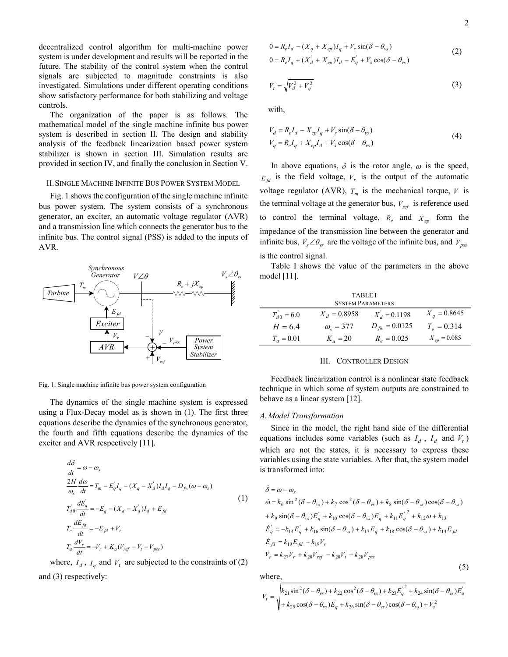decentralized control algorithm for multi-machine power system is under development and results will be reported in the future. The stability of the control system when the control signals are subjected to magnitude constraints is also investigated. Simulations under different operating conditions show satisfactory performance for both stabilizing and voltage controls.

The organization of the paper is as follows. The mathematical model of the single machine infinite bus power system is described in section II. The design and stability analysis of the feedback linearization based power system stabilizer is shown in section III. Simulation results are provided in section IV, and finally the conclusion in Section V.

#### II.SINGLE MACHINE INFINITE BUS POWER SYSTEM MODEL

Fig. 1 shows the configuration of the single machine infinite bus power system. The system consists of a synchronous generator, an exciter, an automatic voltage regulator (AVR) and a transmission line which connects the generator bus to the infinite bus. The control signal (PSS) is added to the inputs of AVR.



Fig. 1. Single machine infinite bus power system configuration

The dynamics of the single machine system is expressed using a Flux-Decay model as is shown in (1). The first three equations describe the dynamics of the synchronous generator, the fourth and fifth equations describe the dynamics of the exciter and AVR respectively [11].

$$
\frac{d\delta}{dt} = \omega - \omega_s
$$
\n
$$
\frac{2H}{\omega_s} \frac{d\omega}{dt} = T_m - E_q' I_q - (X_q - X_a') I_d I_q - D_{fiv} (\omega - \omega_s)
$$
\n
$$
T_{d0} \frac{dE_q'}{dt} = -E_q' - (X_d - X_a') I_d + E_{fd}
$$
\n
$$
T_e \frac{dE_{fd}}{dt} = -E_{fd} + V_r
$$
\n
$$
T_a \frac{dV_r}{dt} = -V_r + K_a (V_{ref} - V_t - V_{pss})
$$
\n(1)

where,  $I_d$ ,  $I_q$  and  $V_t$  are subjected to the constraints of (2) and (3) respectively:

$$
0 = R_e I_d - (X_q + X_{ep})I_q + V_s \sin(\delta - \theta_{vs})
$$
  
\n
$$
0 = R_e I_q + (X_d + X_{ep})I_d - E_q + V_s \cos(\delta - \theta_{vs})
$$
\n(2)

$$
V_t = \sqrt{V_d^2 + V_q^2} \tag{3}
$$

with,

$$
V_d = R_e I_d - X_{ep} I_q + V_s \sin(\delta - \theta_{vs})
$$
  
\n
$$
V_q = R_e I_q + X_{ep} I_d + V_s \cos(\delta - \theta_{vs})
$$
\n(4)

In above equations,  $\delta$  is the rotor angle,  $\omega$  is the speed,  $E_{fd}$  is the field voltage,  $V_r$  is the output of the automatic voltage regulator (AVR),  $T_m$  is the mechanical torque,  $V$  is the terminal voltage at the generator bus,  $V_{ref}$  is reference used to control the terminal voltage,  $R_e$  and  $X_{ep}$  form the impedance of the transmission line between the generator and infinite bus,  $V_s \angle \theta_{\text{vs}}$  are the voltage of the infinite bus, and  $V_{\text{pss}}$ is the control signal.

Table I shows the value of the parameters in the above model [11].

| <b>TABLEI</b>            |                  |                   |                  |
|--------------------------|------------------|-------------------|------------------|
| <b>SYSTEM PARAMETERS</b> |                  |                   |                  |
| $T_{d0} = 6.0$           | $X_d = 0.8958$   | $X_d = 0.1198$    | $X_a = 0.8645$   |
| $H = 6.4$                | $\omega_z = 377$ | $D_{fw} = 0.0125$ | $T_e = 0.314$    |
| $T_a = 0.01$             | $K_a = 20$       | $R_a = 0.025$     | $X_{ep} = 0.085$ |

#### III. CONTROLLER DESIGN

Feedback linearization control is a nonlinear state feedback technique in which some of system outputs are constrained to behave as a linear system [12].

#### *A. Model Transformation*

Since in the model, the right hand side of the differential equations includes some variables (such as  $I_d$ ,  $I_d$  and  $V_t$ ) which are not the states, it is necessary to express these variables using the state variables. After that, the system model is transformed into:

$$
\dot{\delta} = \omega - \omega_s
$$
  
\n
$$
\dot{\omega} = k_6 \sin^2 (\delta - \theta_{vs}) + k_7 \cos^2 (\delta - \theta_{vs}) + k_8 \sin(\delta - \theta_{vs}) \cos(\delta - \theta_{vs})
$$
  
\n
$$
+ k_9 \sin(\delta - \theta_{vs}) E_q' + k_{10} \cos(\delta - \theta_{vs}) E_q' + k_{11} E_q'^2 + k_{12} \omega + k_{13}
$$
  
\n
$$
\dot{E}_q' = -k_{14} E_q' + k_{16} \sin(\delta - \theta_{vs}) + k_{17} E_q' + k_{18} \cos(\delta - \theta_{vs}) + k_{14} E_{fd}
$$
  
\n
$$
\dot{E}_{fd} = k_{19} E_{fd} - k_{19} V_r
$$
  
\n
$$
\dot{V}_r = k_{27} V_r + k_{28} V_{ref} - k_{28} V_t + k_{28} V_{pss}
$$

where,

$$
V_{t} = \sqrt{\frac{k_{21}\sin^{2}(\delta - \theta_{vs}) + k_{22}\cos^{2}(\delta - \theta_{vs}) + k_{23}E_{q}^{'^{2}} + k_{24}\sin(\delta - \theta_{vs})E_{q}'}{k_{2}k_{2}\cos(\delta - \theta_{vs})E_{q} + k_{26}\sin(\delta - \theta_{vs})\cos(\delta - \theta_{vs}) + V_{s}^{2}}}
$$

 $(5)$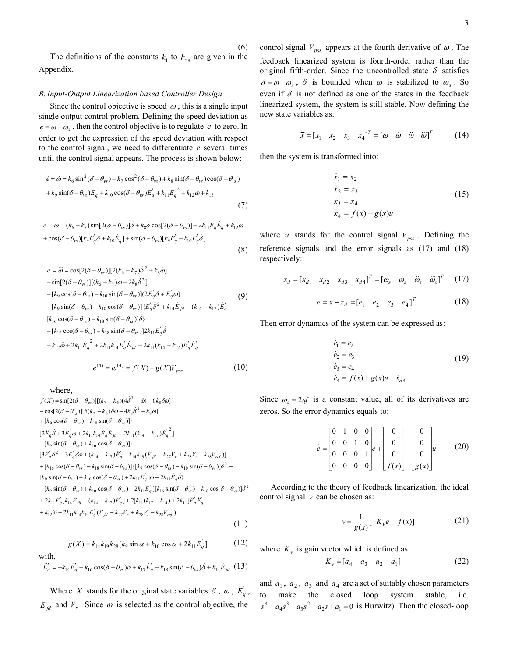The definitions of the constants  $k_1$  to  $k_{28}$  are given in the Appendix.

(6)

#### *B.Input-Output Linearization based Controller Design*

Since the control objective is speed  $\omega$ , this is a single input single output control problem. Defining the speed deviation as  $e = \omega - \omega_s$ , then the control objective is to regulate *e* to zero. In order to get the expression of the speed deviation with respect to the control signal, we need to differentiate *e* several times until the control signal appears. The process is shown below:

$$
\dot{e} = \dot{\omega} = k_6 \sin^2(\delta - \theta_{vs}) + k_7 \cos^2(\delta - \theta_{vs}) + k_8 \sin(\delta - \theta_{vs}) \cos(\delta - \theta_{vs})
$$
  
+ 
$$
k_9 \sin(\delta - \theta_{vs}) E_q' + k_{10} \cos(\delta - \theta_{vs}) E_q' + k_{11} E_q'^2 + k_{12} \omega + k_{13}
$$

$$
(7)
$$

$$
\ddot{e} = \ddot{\omega} = (k_6 - k_7) \sin[2(\delta - \theta_{vs})] \dot{\delta} + k_8 \dot{\delta} \cos[2(\delta - \theta_{vs})] + 2k_{11} E_q \dot{E}_q + k_{12} \dot{\omega} + \cos(\delta - \theta_{vs}) [k_9 E_q \dot{\delta} + k_{10} \dot{E}_q] + \sin(\delta - \theta_{vs}) [k_9 \dot{E}_q - k_{10} E_q \dot{\delta}]
$$
\n(8)

$$
\ddot{e} = \ddot{\omega} = \cos[2(\delta - \theta_{vs})][2(k_6 - k_7)\dot{\delta}^2 + k_8\dot{\omega}] \n+ \sin[2(\delta - \theta_{vs})][(k_6 - k_7)\dot{\omega} - 2k_8\dot{\delta}^2] \n+ [k_9 \cos(\delta - \theta_{vs}) - k_{10} \sin(\delta - \theta_{vs})](2\dot{E}_q \dot{\delta} + \dot{E}_q \dot{\omega}) \n- [k_9 \sin(\delta - \theta_{vs}) + k_{10} \cos(\delta - \theta_{vs})](E_q \dot{\delta}^2 + k_{14}\dot{E}_{fd} - (k_{14} - k_{17})\dot{E}_q - [k_{16} \cos(\delta - \theta_{vs}) - k_{18} \sin(\delta - \theta_{vs})]\dot{\delta} \n+ [k_{16} \cos(\delta - \theta_{vs}) - k_{18} \sin(\delta - \theta_{vs})]2k_{11}\dot{E}_q \dot{\delta} \n+ k_{12}\ddot{\omega} + 2k_{11}\dot{E}_q^2 + 2k_{11}k_{14}\dot{E}_q \dot{E}_{fd} - 2k_{11}(k_{14} - k_{17})\dot{E}_q \dot{E}_q
$$
\n
$$
e^{(4)} = \omega^{(4)} = f(X) + g(X)V_{pss}
$$
\n(10)

where,

$$
f(X) = \sin[2(\delta - \theta_{vs})][(k_7 - k_6)(4\dot{\delta}^3 - \ddot{\omega}) - 6k_8\dot{\delta}\dot{\omega}]
$$
  
\n
$$
- \cos[2(\delta - \theta_{vs})][6(k_7 - k_6)\dot{\delta}\dot{\omega} + 4k_8\dot{\delta}^3 - k_8\ddot{\omega}]
$$
  
\n
$$
+ [k_9 \cos(\delta - \theta_{vs}) - k_{10} \sin(\delta - \theta_{vs})].
$$
  
\n
$$
[2\ddot{E}_q\dot{\delta} + 3E_q\dot{\omega} + 2k_{11}k_{14}\dot{E}_q\dot{E}_{fd} - 2k_{11}(k_{14} - k_{17})\dot{E}_q^2]
$$
  
\n
$$
-[k_9 \sin(\delta - \theta_{vs}) + k_{10} \cos(\delta - \theta_{vs})].
$$
  
\n
$$
[3\ddot{E}_q\dot{\delta}^2 + 3E_q\dot{\delta}\dot{\omega} + (k_{14} - k_{17})\ddot{E}_q^2 - k_{14}k_{19}(\dot{E}_{fd} - k_{27}V_r + k_{28}V_t - k_{28}V_{ref})]
$$
  
\n
$$
+ [k_{16} \cos(\delta - \theta_{vs}) - k_{18} \sin(\delta - \theta_{vs})] \{[k_9 \cos(\delta - \theta_{vs}) - k_{10} \sin(\delta - \theta_{vs})]\dot{\delta}^2 + [k_9 \sin(\delta - \theta_{vs}) + k_{10} \cos(\delta - \theta_{vs}) + 2k_{11}\dot{E}_q]\dot{\omega} + 2k_{11}\dot{E}_q\dot{\delta}\}
$$
  
\n
$$
-[k_9 \sin(\delta - \theta_{vs}) + k_{10} \cos(\delta - \theta_{vs}) + 2k_{11}\dot{E}_q][k_{16} \sin(\delta - \theta_{vs}) + k_{18} \cos(\delta - \theta_{vs})]\dot{\delta}^2
$$
  
\n
$$
+ 2k_{11}\dot{E}_q[k_{14}\dot{E}_{fd} - (k_{14} - k_{17})\dot{E}_q] + 2[k_{11}(k_{17} - k_{14}) + 2k_{11}]\dot{E}_q\ddot{E}_q^2
$$
  
\n<math display="</math>

 $g(X) = k_{14} k_{19} k_{28} [k_9 \sin \alpha + k_{10} \cos \alpha + 2k_{11} E_q']$  (12)

with,  
\n
$$
\ddot{E}_q = -k_{14}\dot{E}_q + k_{16}\cos(\delta - \theta_{vs})\dot{\delta} + k_{17}\dot{E}_q - k_{18}\sin(\delta - \theta_{vs})\dot{\delta} + k_{14}\dot{E}_{fd}
$$
\n(13)

Where *X* stands for the original state variables  $\delta$ ,  $\omega$ ,  $E_q$ ,  $E_{fd}$  and  $V_r$ . Since  $\omega$  is selected as the control objective, the

control signal  $V_{pss}$  appears at the fourth derivative of  $\omega$ . The feedback linearized system is fourth-order rather than the original fifth-order. Since the uncontrolled state  $\delta$  satisfies  $\dot{\delta} = \omega - \omega_s$ ,  $\delta$  is bounded when  $\omega$  is stabilized to  $\omega_s$ . So even if  $\delta$  is not defined as one of the states in the feedback linearized system, the system is still stable. Now defining the new state variables as:

$$
\overline{x} = [x_1 \quad x_2 \quad x_3 \quad x_4]^T = [\omega \quad \dot{\omega} \quad \ddot{\omega} \quad \ddot{\omega}]^T \tag{14}
$$

then the system is transformed into:

$$
\dot{x}_1 = x_2\n\dot{x}_2 = x_3\n\dot{x}_3 = x_4\n\dot{x}_4 = f(x) + g(x)u
$$
\n(15)

where *u* stands for the control signal  $V_{pss}$ . Defining the reference signals and the error signals as (17) and (18) respectively:

$$
x_d = [x_{d1} \quad x_{d2} \quad x_{d3} \quad x_{d4}]^T = [\omega_s \quad \dot{\omega}_s \quad \ddot{\omega}_s \quad \ddot{\omega}_s]^T \tag{17}
$$

$$
\overline{e} = \overline{x} - \overline{x}_d = [e_1 \quad e_2 \quad e_3 \quad e_4]^T
$$
 (18)

Then error dynamics of the system can be expressed as:

$$
\dot{e}_1 = e_2 \n\dot{e}_2 = e_3 \n\dot{e}_3 = e_4 \n\dot{e}_4 = f(x) + g(x)u - \dot{x}_{d4}
$$
\n(19)

Since  $\omega_s = 2\pi f$  is a constant value, all of its derivatives are zeros. So the error dynamics equals to:

$$
\dot{\vec{e}} = \begin{bmatrix} 0 & 1 & 0 & 0 \\ 0 & 0 & 1 & 0 \\ 0 & 0 & 0 & 1 \\ 0 & 0 & 0 & 0 \end{bmatrix} \vec{e} + \begin{bmatrix} 0 \\ 0 \\ 0 \\ 0 \end{bmatrix} + \begin{bmatrix} 0 \\ 0 \\ 0 \\ g(x) \end{bmatrix} u \qquad (20)
$$

According to the theory of feedback linearization, the ideal control signal *v* can be chosen as:

$$
v = \frac{1}{g(x)} \left[ -K_v \overline{e} - f(x) \right] \tag{21}
$$

where  $K_v$  is gain vector which is defined as:

$$
K_{\nu} = [a_4 \quad a_3 \quad a_2 \quad a_1]
$$
 (22)

and  $a_1$ ,  $a_2$ ,  $a_3$  and  $a_4$  are a set of suitably chosen parameters to make the closed loop system stable, i.e.  $s^4 + a_4 s^3 + a_3 s^2 + a_2 s + a_1 = 0$  is Hurwitz). Then the closed-loop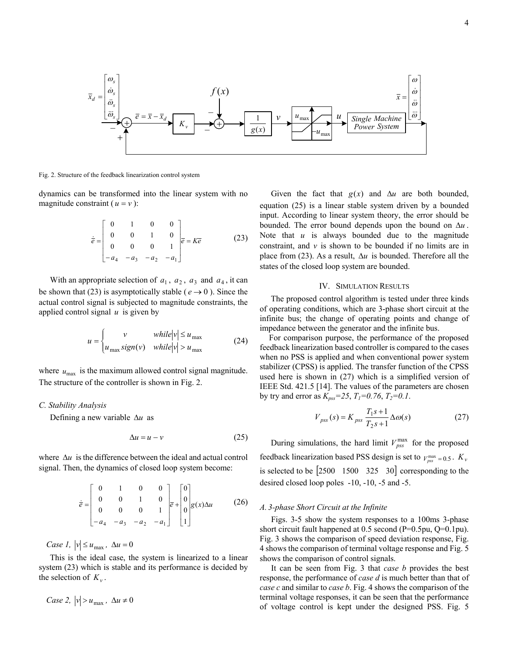

Fig. 2. Structure of the feedback linearization control system

dynamics can be transformed into the linear system with no magnitude constraint ( $u = v$ ):

$$
\dot{\vec{e}} = \begin{bmatrix} 0 & 1 & 0 & 0 \\ 0 & 0 & 1 & 0 \\ 0 & 0 & 0 & 1 \\ -a_4 & -a_3 & -a_2 & -a_1 \end{bmatrix} \vec{e} = K\vec{e}
$$
 (23)

With an appropriate selection of  $a_1$ ,  $a_2$ ,  $a_3$  and  $a_4$ , it can be shown that (23) is asymptotically stable ( $e \rightarrow 0$ ). Since the actual control signal is subjected to magnitude constraints, the applied control signal *u* is given by

$$
u = \begin{cases} v & \text{while } |v| \le u_{\text{max}} \\ u_{\text{max}} \operatorname{sign}(v) & \text{while } |v| > u_{\text{max}} \end{cases} \tag{24}
$$

where  $u_{\text{max}}$  is the maximum allowed control signal magnitude. The structure of the controller is shown in Fig. 2.

#### *C. Stability Analysis*

Defining a new variable ∆*u* as

$$
\Delta u = u - v \tag{25}
$$

where ∆*u* is the difference between the ideal and actual control signal. Then, the dynamics of closed loop system become:

$$
\dot{\overline{e}} = \begin{bmatrix} 0 & 1 & 0 & 0 \\ 0 & 0 & 1 & 0 \\ 0 & 0 & 0 & 1 \\ -a_4 & -a_3 & -a_2 & -a_1 \end{bmatrix} \overline{e} + \begin{bmatrix} 0 \\ 0 \\ 0 \\ 1 \end{bmatrix} g(x) \Delta u \tag{26}
$$

*Case 1,*  $|v| \le u_{\text{max}}$ ,  $\Delta u = 0$ 

This is the ideal case, the system is linearized to a linear system (23) which is stable and its performance is decided by the selection of  $K_v$ .

Case 2, 
$$
|v| > u_{\text{max}}
$$
,  $\Delta u \neq 0$ 

Given the fact that  $g(x)$  and  $\Delta u$  are both bounded, equation (25) is a linear stable system driven by a bounded input. According to linear system theory, the error should be bounded. The error bound depends upon the bound on ∆*u* . Note that *u* is always bounded due to the magnitude constraint, and *v* is shown to be bounded if no limits are in place from (23). As a result, ∆*u* is bounded. Therefore all the states of the closed loop system are bounded.

#### IV. SIMULATION RESULTS

The proposed control algorithm is tested under three kinds of operating conditions, which are 3-phase short circuit at the infinite bus; the change of operating points and change of impedance between the generator and the infinite bus.

For comparison purpose, the performance of the proposed feedback linearization based controller is compared to the cases when no PSS is applied and when conventional power system stabilizer (CPSS) is applied. The transfer function of the CPSS used here is shown in (27) which is a simplified version of IEEE Std. 421.5 [14]. The values of the parameters are chosen by try and error as  $K_{pss} = 25$ ,  $T_1 = 0.76$ ,  $T_2 = 0.1$ .

$$
V_{pss}(s) = K_{pss} \frac{T_1 s + 1}{T_2 s + 1} \Delta \omega(s)
$$
 (27)

During simulations, the hard limit  $V_{pss}^{\text{max}}$  for the proposed feedback linearization based PSS design is set to  $V_{pss}^{\text{max}} = 0.5$ .  $K_v$ is selected to be [2500 1500 325 30] corresponding to the desired closed loop poles -10, -10, -5 and -5.

### *A. 3-phase Short Circuit at the Infinite*

Figs. 3-5 show the system responses to a 100ms 3-phase short circuit fault happened at 0.5 second (P=0.5pu, Q=0.1pu). Fig. 3 shows the comparison of speed deviation response, Fig. 4 shows the comparison of terminal voltage response and Fig. 5 shows the comparison of control signals.

It can be seen from Fig. 3 that *case b* provides the best response, the performance of *case d* is much better than that of *case c* and similar to *case b*. Fig. 4 shows the comparison of the terminal voltage responses, it can be seen that the performance of voltage control is kept under the designed PSS. Fig. 5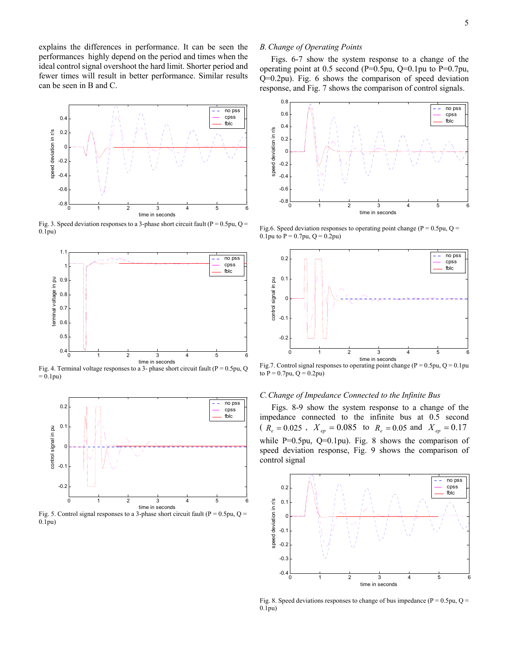explains the differences in performance. It can be seen the performances highly depend on the period and times when the ideal control signal overshoot the hard limit. Shorter period and fewer times will result in better performance. Similar results can be seen in B and C.



Fig. 3. Speed deviation responses to a 3-phase short circuit fault ( $P = 0.5$ pu, Q = 0.1pu)



Fig. 4. Terminal voltage responses to a 3- phase short circuit fault (P = 0.5pu, Q  $= 0.1$ pu)



Fig. 5. Control signal responses to a 3-phase short circuit fault ( $P = 0.5$ pu, Q = 0.1pu)

## *B.Change of Operating Points*

Figs. 6-7 show the system response to a change of the operating point at 0.5 second (P=0.5pu, Q=0.1pu to P=0.7pu, Q=0.2pu). Fig. 6 shows the comparison of speed deviation response, and Fig. 7 shows the comparison of control signals.



Fig.6. Speed deviation responses to operating point change ( $P = 0.5$ pu, Q = 0.1pu to  $P = 0.7$ pu,  $Q = 0.2$ pu)



Fig.7. Control signal responses to operating point change ( $P = 0.5$ pu,  $Q = 0.1$ pu to  $P = 0.7$ pu,  $Q = 0.2$ pu)

#### *C.Change of Impedance Connected to the Infinite Bus*

Figs. 8-9 show the system response to a change of the impedance connected to the infinite bus at 0.5 second ( $R_e = 0.025$ ,  $X_{ep} = 0.085$  to  $R_e = 0.05$  and  $X_{ep} = 0.17$ while P=0.5pu, Q=0.1pu). Fig. 8 shows the comparison of speed deviation response, Fig. 9 shows the comparison of control signal



Fig. 8. Speed deviations responses to change of bus impedance ( $P = 0.5$ pu, Q = 0.1pu)